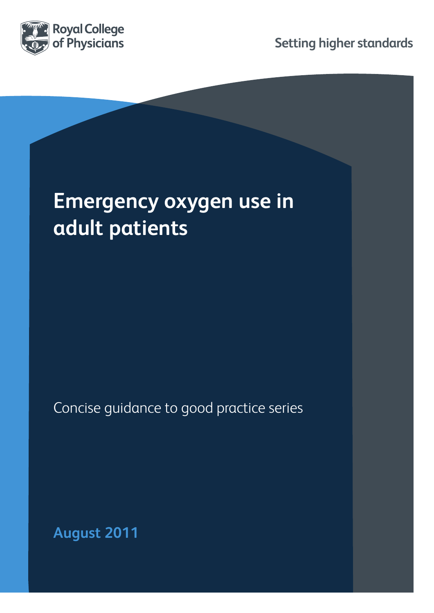

**Setting higher standards**

# **Emergency oxygen use in adult patients**

Concise guidance to good practice series

**August 2011**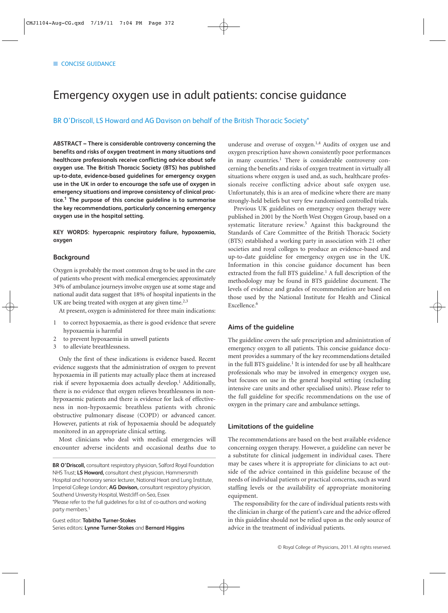# Emergency oxygen use in adult patients: concise guidance

BR O'Driscoll, LS Howard and AG Davison on behalf of the British Thoracic Society\*

**ABSTRACT – There is considerable controversy concerning the benefits and risks of oxygen treatment in many situations and healthcare professionals receive conflicting advice about safe oxygen use. The British Thoracic Society (BTS) has published up-to-date, evidence-based guidelines for emergency oxygen use in the UK in order to encourage the safe use of oxygen in emergency situations and improve consistency of clinical practice.1 The purpose of this concise guideline is to summarise the key recommendations, particularly concerning emergency oxygen use in the hospital setting.**

**KEY WORDS: hypercapnic respiratory failure, hypoxaemia, oxygen**

### **Background**

Oxygen is probably the most common drug to be used in the care of patients who present with medical emergencies; approximately 34% of ambulance journeys involve oxygen use at some stage and national audit data suggest that 18% of hospital inpatients in the UK are being treated with oxygen at any given time.<sup>2,3</sup>

At present, oxygen is administered for three main indications:

- 1 to correct hypoxaemia, as there is good evidence that severe hypoxaemia is harmful
- 2 to prevent hypoxaemia in unwell patients
- 3 to alleviate breathlessness.

Only the first of these indications is evidence based. Recent evidence suggests that the administration of oxygen to prevent hypoxaemia in ill patients may actually place them at increased risk if severe hypoxaemia does actually develop.<sup>1</sup> Additionally, there is no evidence that oxygen relieves breathlessness in nonhypoxaemic patients and there is evidence for lack of effectiveness in non-hypoxaemic breathless patients with chronic obstructive pulmonary disease (COPD) or advanced cancer. However, patients at risk of hypoxaemia should be adequately monitored in an appropriate clinical setting.

Most clinicians who deal with medical emergencies will encounter adverse incidents and occasional deaths due to

**BR O'Driscoll,** consultant respiratory physician, Salford Royal Foundation NHS Trust; **LS Howard,** consultant chest physician, Hammersmith Hospital and honorary senior lecturer, National Heart and Lung Institute, Imperial College London; **AG Davison,** consultant respiratory physician, Southend University Hospital, Westcliff-on-Sea, Essex

\*Please refer to the full guidelines for a list of co-authors and working party members.1

Guest editor: **Tabitha Turner-Stokes** Series editors: **Lynne Turner-Stokes** and **Bernard Higgins** underuse and overuse of oxygen.1,4 Audits of oxygen use and oxygen prescription have shown consistently poor performances in many countries.<sup>1</sup> There is considerable controversy concerning the benefits and risks of oxygen treatment in virtually all situations where oxygen is used and, as such, healthcare professionals receive conflicting advice about safe oxygen use. Unfortunately, this is an area of medicine where there are many strongly-held beliefs but very few randomised controlled trials.

Previous UK guidelines on emergency oxygen therapy were published in 2001 by the North West Oxygen Group, based on a systematic literature review.<sup>5</sup> Against this background the Standards of Care Committee of the British Thoracic Society (BTS) established a working party in association with 21 other societies and royal colleges to produce an evidence-based and up-to-date guideline for emergency oxygen use in the UK. Information in this concise guidance document has been extracted from the full BTS guideline.<sup>1</sup> A full description of the methodology may be found in BTS guideline document. The levels of evidence and grades of recommendation are based on those used by the National Institute for Health and Clinical Excellence.<sup>6</sup>

# **Aims of the guideline**

The guideline covers the safe prescription and administration of emergency oxygen to all patients. This concise guidance document provides a summary of the key recommendations detailed in the full BTS guideline.<sup>1</sup> It is intended for use by all healthcare professionals who may be involved in emergency oxygen use, but focuses on use in the general hospital setting (excluding intensive care units and other specialised units). Please refer to the full guideline for specific recommendations on the use of oxygen in the primary care and ambulance settings.

#### **Limitations of the guideline**

The recommendations are based on the best available evidence concerning oxygen therapy. However, a guideline can never be a substitute for clinical judgement in individual cases. There may be cases where it is appropriate for clinicians to act outside of the advice contained in this guideline because of the needs of individual patients or practical concerns, such as ward staffing levels or the availability of appropriate monitoring equipment.

The responsibility for the care of individual patients rests with the clinician in charge of the patient's care and the advice offered in this guideline should not be relied upon as the only source of advice in the treatment of individual patients.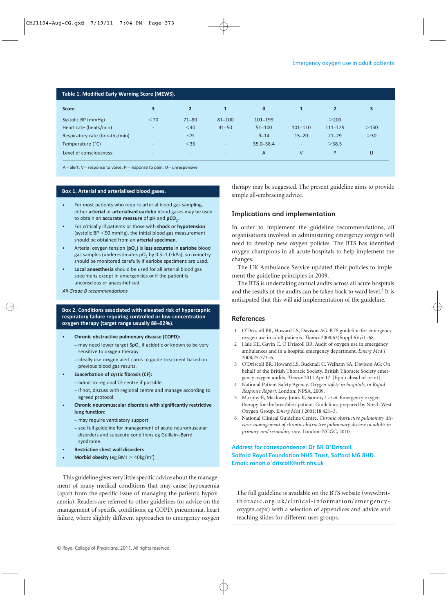| Table 1. Modified Early Warning Score (MEWS). |                          |                          |              |                |                          |                |                          |  |  |  |  |
|-----------------------------------------------|--------------------------|--------------------------|--------------|----------------|--------------------------|----------------|--------------------------|--|--|--|--|
| <b>Score</b>                                  | $\overline{\mathbf{3}}$  | $\overline{2}$           | $\mathbf{1}$ | $\mathbf 0$    | $\mathbf{1}$             | $\overline{2}$ | 3                        |  |  |  |  |
| Systolic BP (mmHg)                            | < 70                     | $71 - 80$                | $81 - 100$   | $101 - 199$    | $\sim$                   | >200           | $\overline{\phantom{a}}$ |  |  |  |  |
| Heart rate (beats/min)                        | $\sim$                   | $<$ 40                   | $41 - 50$    | $51 - 100$     | $101 - 110$              | $111 - 129$    | >130                     |  |  |  |  |
| Respiratory rate (breaths/min)                | $\overline{\phantom{0}}$ | $\leq$ 9                 | ۰            | $9 - 14$       | $15 - 20$                | $21 - 29$      | >30                      |  |  |  |  |
| Temperature $(^{\circ}C)$                     | $\sim$                   | $35$                     | ٠            | $35.0 - 38.4$  | $\overline{\phantom{a}}$ | >38.5          | $\overline{\phantom{a}}$ |  |  |  |  |
| Level of consciousness:                       | $\overline{\phantom{0}}$ | $\overline{\phantom{0}}$ | ٠            | $\overline{A}$ | V                        | P              | U                        |  |  |  |  |

Å = alert; V = response to voice; P = response to pain; U = unresponsive

#### **Box 1. Arterial and arterialised blood gases.**

- For most patients who require arterial blood gas sampling, either arterial or arterialised earlobe blood gases may be used to obtain an **accurate measure** of **pH** and **pCO**<sub>2</sub>.
- For critically ill patients or those with **shock** or **hypotension** (systolic BP  $<$  90 mmHg), the initial blood gas measurement should be obtained from an **arterial specimen**.
- Arterial oxygen tension (pO<sub>2</sub>) is less accurate in earlobe blood gas samples (underestimates pO<sub>2</sub> by 0.5-1.0 kPa), so oximetry should be monitored carefully if earlobe specimens are used.
- Local anaesthesia should be used for all arterial blood gas specimens except in emergencies or if the patient is unconscious or anaesthetised.

*Åll Grade B recommendations* 

Box 2. Conditions associated with elevated risk of hypercapnic respiratory failure requiring controlled or low-concentration cxygen therapy (target range usually 88-92%).

- **Chronic obstructive pulmonary disease (COPD):** 
	- may need lower target SpO<sub>2</sub> if acidotic or known to be very sensitive to oxygen therapy
	- ideally use oxygen alert cards to guide treatment based on previous blood gas results.
- **Exacerbation of cystic fibrosis (CF):** 
	- admit to regional CF centre if possible
	- if not, discuss with regional centre and manage according to agreed protocol.
- Chronic neuromuscular disorders with significantly restrictive **lung** function:
	- may require ventilatory support
	- see full guideline for management of acute neuromuscular disorders and subacute conditions eg Guillain-Barré syndrome.
- **Restrictive chest wall disorders**
- **Morbid obesity** (eg BMI > 40kg/m<sup>2</sup>)

This guideline gives very little specific advice about the management of many medical conditions that may cause hypoxaemia (apart from the specific issue of managing the patient's hypoxaemia). Readers are referred to other guidelines for advice on the management of specific conditions, eg COPD, pneumonia, heart failure, where slightly different approaches to emergency oxygen

therapy may be suggested. The present guideline aims to provide simple all-embracing advice.

#### **Implications and implementation**

In order to implement the guideline recommendations, all organisations involved in administering emergency oxygen will need to develop new oxygen policies. The BTS has identified oxygen champions in all acute hospitals to help implement the changes.

The UK Ambulance Service updated their policies to implement the guideline principles in 2009.

The BTS is undertaking annual audits across all acute hospitals and the results of the audits can be taken back to ward level.<sup>3</sup> It is anticipated that this will aid implementation of the guideline.

#### **References**

- 1 O'Driscoll BR, Howard LS, Davison AG. BTS guideline for emergency oxygen use in adult patients. *Thorax* 2008;63(Suppl 6):vi1–68.
- 2 Hale KE, Gavin C, O'Driscoll BR. Audit of oxygen use in emergency ambulances and in a hospital emergency department. *Emerg Med J* 2008;25:773–6.
- 3 O'Driscoll BR, Howard LS, Bucknall C, Welham SA, Davison AG; On behalf of the British Thoracic Society. British Thoracic Society emergency oxygen audits. *Thorax* 2011 Apr 17. [Epub ahead of print].
- 4 National Patient Safety Agency. *Oxygen safety in hospitals, in Rapid Response Report*. London: NPSA, 2009.
- 5 Murphy R, Mackway-Jones K, Sammy I *et al*. Emergency oxygen therapy for the breathless patient. Guidelines prepared by North West Oxygen Group. *Emerg Med J* 2001;18:421–3.
- 6 National Clinical Guideline Centre. *Chronic obstructive pulmonary disease: management of chronic obstructive pulmonary disease in adults in primary and secondary care*. London: NCGC, 2010.

## **Address for correspondence: Dr BR O'Driscoll, Salford Royal Foundation NHS Trust, Salford M6 8HD. Email: ronon.o'driscoll@srft.nhs.uk**

The full guideline is available on the BTS website (www.britthoracic.org.uk/clinical-information/emergencyoxygen.aspx) with a selection of appendices and advice and teaching slides for different user groups.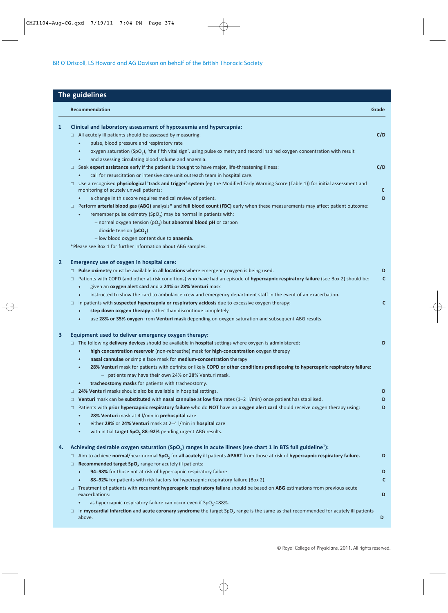|              | The guidelines                                                                                                                                                                                  |              |
|--------------|-------------------------------------------------------------------------------------------------------------------------------------------------------------------------------------------------|--------------|
|              | Recommendation                                                                                                                                                                                  | Grade        |
|              |                                                                                                                                                                                                 |              |
| 1            | Clinical and laboratory assessment of hypoxaemia and hypercapnia:                                                                                                                               |              |
|              | $\Box$ All acutely ill patients should be assessed by measuring:                                                                                                                                | C/D          |
|              | pulse, blood pressure and respiratory rate<br>٠                                                                                                                                                 |              |
|              | oxygen saturation (SpO <sub>2</sub> ), 'the fifth vital sign', using pulse oximetry and record inspired oxygen concentration with result<br>$\bullet$                                           |              |
|              | and assessing circulating blood volume and anaemia.<br>٠                                                                                                                                        |              |
|              | $\Box$ Seek expert assistance early if the patient is thought to have major, life-threatening illness:                                                                                          | C/D          |
|              | call for resuscitation or intensive care unit outreach team in hospital care.<br>$\bullet$                                                                                                      |              |
|              | Use a recognised <b>physiological 'track and trigger' system</b> (eg the Modified Early Warning Score (Table 1)) for initial assessment and<br>$\Box$<br>monitoring of acutely unwell patients: | C            |
|              | a change in this score requires medical review of patient.<br>٠                                                                                                                                 | D            |
|              | $\Box$ Perform arterial blood gas (ABG) analysis* and full blood count (FBC) early when these measurements may affect patient outcome:                                                          |              |
|              | remember pulse oximetry (SpO <sub>2</sub> ) may be normal in patients with:<br>$\bullet$                                                                                                        |              |
|              | - normal oxygen tension ( $pO_2$ ) but <b>abnormal blood pH</b> or carbon                                                                                                                       |              |
|              | dioxide tension (pCO <sub>2</sub> )                                                                                                                                                             |              |
|              | - low blood oxygen content due to anaemia.                                                                                                                                                      |              |
|              | *Please see Box 1 for further information about ABG samples.                                                                                                                                    |              |
| $\mathbf{2}$ | Emergency use of oxygen in hospital care:                                                                                                                                                       |              |
|              | $\Box$ Pulse oximetry must be available in all locations where emergency oxygen is being used.                                                                                                  | D            |
|              | Patients with COPD (and other at-risk conditions) who have had an episode of hypercapnic respiratory failure (see Box 2) should be:<br>$\Box$                                                   | $\mathbf{C}$ |
|              | given an oxygen alert card and a 24% or 28% Venturi mask<br>٠                                                                                                                                   |              |
|              | instructed to show the card to ambulance crew and emergency department staff in the event of an exacerbation.<br>٠                                                                              |              |
|              | $\Box$ In patients with suspected hypercapnia or respiratory acidosis due to excessive oxygen therapy:                                                                                          | $\mathsf{C}$ |
|              | step down oxygen therapy rather than discontinue completely<br>٠                                                                                                                                |              |
|              | use 28% or 35% oxygen from Venturi mask depending on oxygen saturation and subsequent ABG results.<br>٠                                                                                         |              |
| 3            | Equipment used to deliver emergency oxygen therapy:                                                                                                                                             |              |
|              | $\Box$ The following <b>delivery devices</b> should be available in <b>hospital</b> settings where oxygen is administered:                                                                      | D            |
|              | high concentration reservoir (non-rebreathe) mask for high-concentration oxygen therapy<br>٠                                                                                                    |              |
|              | nasal cannulae or simple face mask for medium-concentration therapy<br>٠                                                                                                                        |              |
|              | 28% Venturi mask for patients with definite or likely COPD or other conditions predisposing to hypercapnic respiratory failure:<br>٠                                                            |              |
|              | - patients may have their own 24% or 28% Venturi mask.                                                                                                                                          |              |
|              | tracheostomy masks for patients with tracheostomy.<br>٠                                                                                                                                         |              |
|              | <b>24% Venturi</b> masks should also be available in hospital settings.<br>□                                                                                                                    | D            |
|              | <b>Venturi</b> mask can be <b>substituted</b> with <b>nasal cannulae</b> at <b>low flow</b> rates $(1-2 \frac{1}{\text{min}})$ once patient has stabilised.<br>$\Box$                           | D            |
|              | Patients with prior hypercapnic respiratory failure who do NOT have an oxygen alert card should receive oxygen therapy using:<br>$\Box$                                                         | D            |
|              | 28% Venturi mask at 4 l/min in prehospital care<br>$\bullet$                                                                                                                                    |              |
|              | either 28% or 24% Venturi mask at 2-4 l/min in hospital care<br>٠                                                                                                                               |              |
|              | with initial target SpO <sub>2</sub> 88-92% pending urgent ABG results.<br>٠                                                                                                                    |              |
| 4.           | Achieving desirable oxygen saturation (SpO <sub>2</sub> ) ranges in acute illness (see chart 1 in BTS full guideline <sup>1</sup> ):                                                            |              |
|              | $\Box$ Aim to achieve normal/near-normal SpO <sub>2</sub> for all acutely ill patients APART from those at risk of hypercapnic respiratory failure.                                             | D            |
|              | $\Box$ Recommended target SpO <sub>2</sub> range for acutely ill patients:                                                                                                                      |              |
|              | 94–98% for those not at risk of hypercapnic respiratory failure<br>$\bullet$                                                                                                                    | D            |
|              | 88–92% for patients with risk factors for hypercapnic respiratory failure (Box 2).<br>$\bullet$                                                                                                 | C            |
|              | $\Box$ Treatment of patients with recurrent hypercapnic respiratory failure should be based on ABG estimations from previous acute<br>exacerbations:                                            | D            |
|              | as hypercapnic respiratory failure can occur even if $SpO_{2}$ <88%.                                                                                                                            |              |
|              | In myocardial infarction and acute coronary syndrome the target $SpO2$ range is the same as that recommended for acutely ill patients<br>$\Box$                                                 |              |
|              | above.                                                                                                                                                                                          | D            |